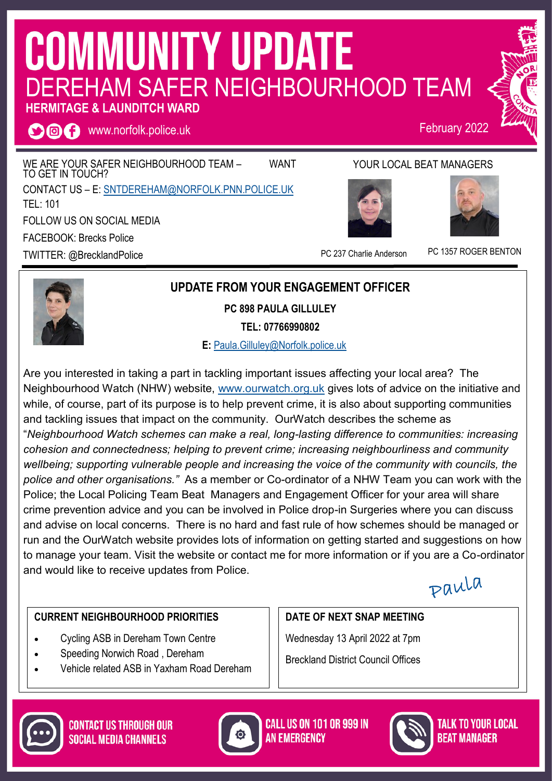# **COMMUNITY UPDATE** DEREHAM SAFER NEIGHBOURHOOD TEAM

## **HERMITAGE & LAUNDITCH WARD**

**OOO** www.norfolk.police.uk

WE ARE YOUR SAFER NEIGHBOURHOOD TEAM - WANT TO GET IN TOUCH? CONTACT US – E: [SNTDEREHAM@NORFOLK.PNN.POLICE.UK](mailto:SNTDEREHAM@NORFOLK.PNN.POLICE.UK) TEL: 101 FOLLOW US ON SOCIAL MEDIA FACEBOOK: Brecks Police TWITTER: @BrecklandPolice

#### YOUR LOCAL BEAT MANAGERS



PC 237 Charlie Anderson PC 1357 ROGER BENTON

February 2022



#### **UPDATE FROM YOUR ENGAGEMENT OFFICER**

**PC 898 PAULA GILLULEY**

**TEL: 07766990802**

 **E:** [Paula.Gilluley@Norfolk.police.uk](mailto:Paula.Gilluley@Norfolk.pnn.police.uk)

Are you interested in taking a part in tackling important issues affecting your local area? The Neighbourhood Watch (NHW) website, [www.ourwatch.org.uk](http://www.ourwatch.org.uk) gives lots of advice on the initiative and while, of course, part of its purpose is to help prevent crime, it is also about supporting communities and tackling issues that impact on the community. OurWatch describes the scheme as "*Neighbourhood Watch schemes can make a real, long-lasting difference to communities: increasing cohesion and connectedness; helping to prevent crime; increasing neighbourliness and community wellbeing; supporting vulnerable people and increasing the voice of the community with councils, the police and other organisations."* As a member or Co-ordinator of a NHW Team you can work with the Police; the Local Policing Team Beat Managers and Engagement Officer for your area will share crime prevention advice and you can be involved in Police drop-in Surgeries where you can discuss and advise on local concerns. There is no hard and fast rule of how schemes should be managed or run and the OurWatch website provides lots of information on getting started and suggestions on how to manage your team. Visit the website or contact me for more information or if you are a Co-ordinator and would like to receive updates from Police.

Paula

#### **CURRENT NEIGHBOURHOOD PRIORITIES**

- Cycling ASB in Dereham Town Centre
- Speeding Norwich Road , Dereham
- Vehicle related ASB in Yaxham Road Dereham

# **DATE OF NEXT SNAP MEETING**

Wednesday 13 April 2022 at 7pm Breckland District Council Offices





**CALL US ON 101 OR 999 IN AN EMERGENCY**